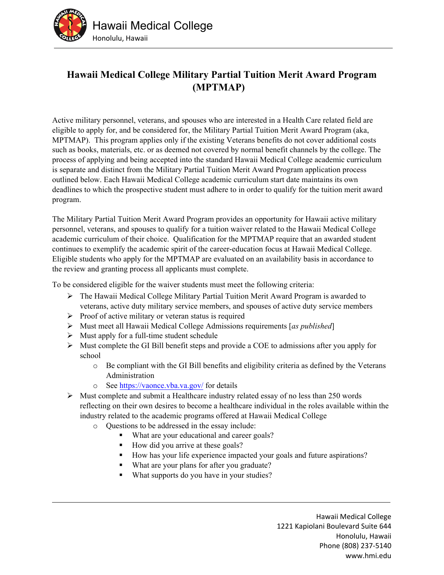

## **Hawaii Medical College Military Partial Tuition Merit Award Program (MPTMAP)**

Active military personnel, veterans, and spouses who are interested in a Health Care related field are eligible to apply for, and be considered for, the Military Partial Tuition Merit Award Program (aka, MPTMAP). This program applies only if the existing Veterans benefits do not cover additional costs such as books, materials, etc. or as deemed not covered by normal benefit channels by the college. The process of applying and being accepted into the standard Hawaii Medical College academic curriculum is separate and distinct from the Military Partial Tuition Merit Award Program application process outlined below. Each Hawaii Medical College academic curriculum start date maintains its own deadlines to which the prospective student must adhere to in order to qualify for the tuition merit award program.

The Military Partial Tuition Merit Award Program provides an opportunity for Hawaii active military personnel, veterans, and spouses to qualify for a tuition waiver related to the Hawaii Medical College academic curriculum of their choice. Qualification for the MPTMAP require that an awarded student continues to exemplify the academic spirit of the career-education focus at Hawaii Medical College. Eligible students who apply for the MPTMAP are evaluated on an availability basis in accordance to the review and granting process all applicants must complete.

To be considered eligible for the waiver students must meet the following criteria:

- $\triangleright$  The Hawaii Medical College Military Partial Tuition Merit Award Program is awarded to veterans, active duty military service members, and spouses of active duty service members
- $\triangleright$  Proof of active military or veteran status is required
- Must meet all Hawaii Medical College Admissions requirements [*as published*]
- $\triangleright$  Must apply for a full-time student schedule
- $\triangleright$  Must complete the GI Bill benefit steps and provide a COE to admissions after you apply for school
	- o Be compliant with the GI Bill benefits and eligibility criteria as defined by the Veterans Administration
	- o See https://vaonce.vba.va.gov/ for details
- $\triangleright$  Must complete and submit a Healthcare industry related essay of no less than 250 words reflecting on their own desires to become a healthcare individual in the roles available within the industry related to the academic programs offered at Hawaii Medical College
	- o Questions to be addressed in the essay include:
		- What are your educational and career goals?
		- $\blacksquare$  How did you arrive at these goals?
		- How has your life experience impacted your goals and future aspirations?
		- What are your plans for after you graduate?
		- What supports do you have in your studies?

Hawaii Medical College 1221 Kapiolani Boulevard Suite 644 Honolulu, Hawaii Phone (808) 237‐5140 www.hmi.edu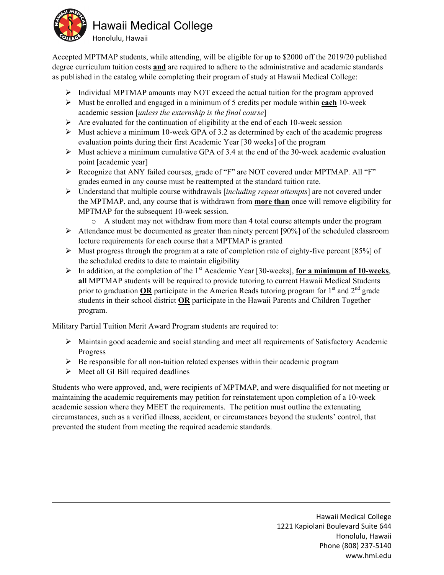

Accepted MPTMAP students, while attending, will be eligible for up to \$2000 off the 2019/20 published degree curriculum tuition costs **and** are required to adhere to the administrative and academic standards as published in the catalog while completing their program of study at Hawaii Medical College:

- $\triangleright$  Individual MPTMAP amounts may NOT exceed the actual tuition for the program approved
- Must be enrolled and engaged in a minimum of 5 credits per module within **each** 10-week academic session [*unless the externship is the final course*]
- $\triangleright$  Are evaluated for the continuation of eligibility at the end of each 10-week session
- $\triangleright$  Must achieve a minimum 10-week GPA of 3.2 as determined by each of the academic progress evaluation points during their first Academic Year [30 weeks] of the program
- $\triangleright$  Must achieve a minimum cumulative GPA of 3.4 at the end of the 30-week academic evaluation point [academic year]
- Recognize that ANY failed courses, grade of "F" are NOT covered under MPTMAP. All "F" grades earned in any course must be reattempted at the standard tuition rate.
- Understand that multiple course withdrawals [*including repeat attempts*] are not covered under the MPTMAP, and, any course that is withdrawn from **more than** once will remove eligibility for MPTMAP for the subsequent 10-week session.
	- o A student may not withdraw from more than 4 total course attempts under the program
- $\triangleright$  Attendance must be documented as greater than ninety percent [90%] of the scheduled classroom lecture requirements for each course that a MPTMAP is granted
- $\triangleright$  Must progress through the program at a rate of completion rate of eighty-five percent [85%] of the scheduled credits to date to maintain eligibility
- In addition, at the completion of the 1st Academic Year [30-weeks], **for a minimum of 10-weeks**, **all** MPTMAP students will be required to provide tutoring to current Hawaii Medical Students prior to graduation OR participate in the America Reads tutoring program for  $1<sup>st</sup>$  and  $2<sup>nd</sup>$  grade students in their school district **OR** participate in the Hawaii Parents and Children Together program.

Military Partial Tuition Merit Award Program students are required to:

- $\triangleright$  Maintain good academic and social standing and meet all requirements of Satisfactory Academic Progress
- $\triangleright$  Be responsible for all non-tuition related expenses within their academic program
- $\triangleright$  Meet all GI Bill required deadlines

Students who were approved, and, were recipients of MPTMAP, and were disqualified for not meeting or maintaining the academic requirements may petition for reinstatement upon completion of a 10-week academic session where they MEET the requirements. The petition must outline the extenuating circumstances, such as a verified illness, accident, or circumstances beyond the students' control, that prevented the student from meeting the required academic standards.

> Hawaii Medical College 1221 Kapiolani Boulevard Suite 644 Honolulu, Hawaii Phone (808) 237‐5140 www.hmi.edu